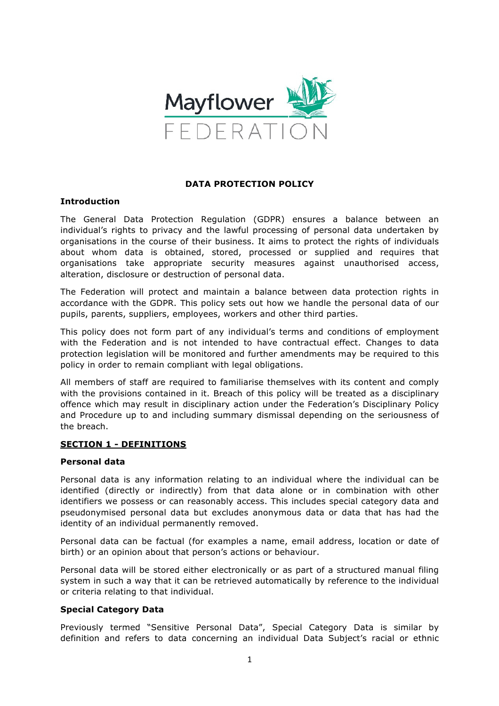

## **DATA PROTECTION POLICY**

#### **Introduction**

The General Data Protection Regulation (GDPR) ensures a balance between an individual's rights to privacy and the lawful processing of personal data undertaken by organisations in the course of their business. It aims to protect the rights of individuals about whom data is obtained, stored, processed or supplied and requires that organisations take appropriate security measures against unauthorised access, alteration, disclosure or destruction of personal data.

The Federation will protect and maintain a balance between data protection rights in accordance with the GDPR. This policy sets out how we handle the personal data of our pupils, parents, suppliers, employees, workers and other third parties.

This policy does not form part of any individual's terms and conditions of employment with the Federation and is not intended to have contractual effect. Changes to data protection legislation will be monitored and further amendments may be required to this policy in order to remain compliant with legal obligations.

All members of staff are required to familiarise themselves with its content and comply with the provisions contained in it. Breach of this policy will be treated as a disciplinary offence which may result in disciplinary action under the Federation's Disciplinary Policy and Procedure up to and including summary dismissal depending on the seriousness of the breach.

#### **SECTION 1 - DEFINITIONS**

#### **Personal data**

Personal data is any information relating to an individual where the individual can be identified (directly or indirectly) from that data alone or in combination with other identifiers we possess or can reasonably access. This includes special category data and pseudonymised personal data but excludes anonymous data or data that has had the identity of an individual permanently removed.

Personal data can be factual (for examples a name, email address, location or date of birth) or an opinion about that person's actions or behaviour.

Personal data will be stored either electronically or as part of a structured manual filing system in such a way that it can be retrieved automatically by reference to the individual or criteria relating to that individual.

#### **Special Category Data**

Previously termed "Sensitive Personal Data", Special Category Data is similar by definition and refers to data concerning an individual Data Subject's racial or ethnic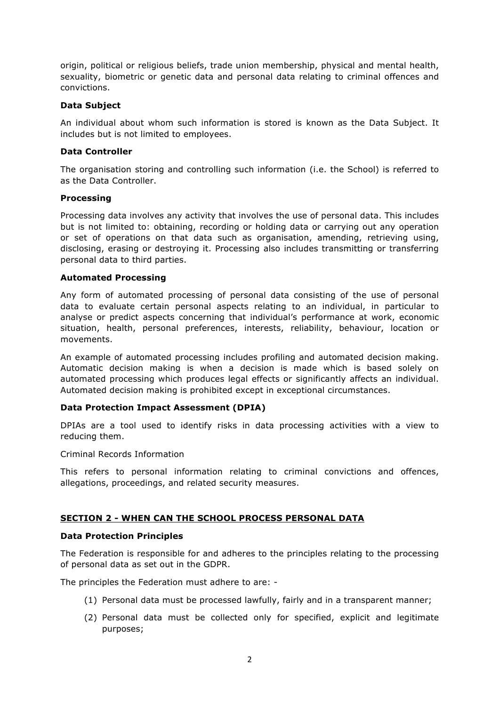origin, political or religious beliefs, trade union membership, physical and mental health, sexuality, biometric or genetic data and personal data relating to criminal offences and convictions.

## **Data Subject**

An individual about whom such information is stored is known as the Data Subject. It includes but is not limited to employees.

# **Data Controller**

The organisation storing and controlling such information (i.e. the School) is referred to as the Data Controller.

## **Processing**

Processing data involves any activity that involves the use of personal data. This includes but is not limited to: obtaining, recording or holding data or carrying out any operation or set of operations on that data such as organisation, amending, retrieving using, disclosing, erasing or destroying it. Processing also includes transmitting or transferring personal data to third parties.

## **Automated Processing**

Any form of automated processing of personal data consisting of the use of personal data to evaluate certain personal aspects relating to an individual, in particular to analyse or predict aspects concerning that individual's performance at work, economic situation, health, personal preferences, interests, reliability, behaviour, location or movements.

An example of automated processing includes profiling and automated decision making. Automatic decision making is when a decision is made which is based solely on automated processing which produces legal effects or significantly affects an individual. Automated decision making is prohibited except in exceptional circumstances.

# **Data Protection Impact Assessment (DPIA)**

DPIAs are a tool used to identify risks in data processing activities with a view to reducing them.

Criminal Records Information

This refers to personal information relating to criminal convictions and offences, allegations, proceedings, and related security measures.

# **SECTION 2 - WHEN CAN THE SCHOOL PROCESS PERSONAL DATA**

#### **Data Protection Principles**

The Federation is responsible for and adheres to the principles relating to the processing of personal data as set out in the GDPR.

The principles the Federation must adhere to are: -

- (1) Personal data must be processed lawfully, fairly and in a transparent manner;
- (2) Personal data must be collected only for specified, explicit and legitimate purposes;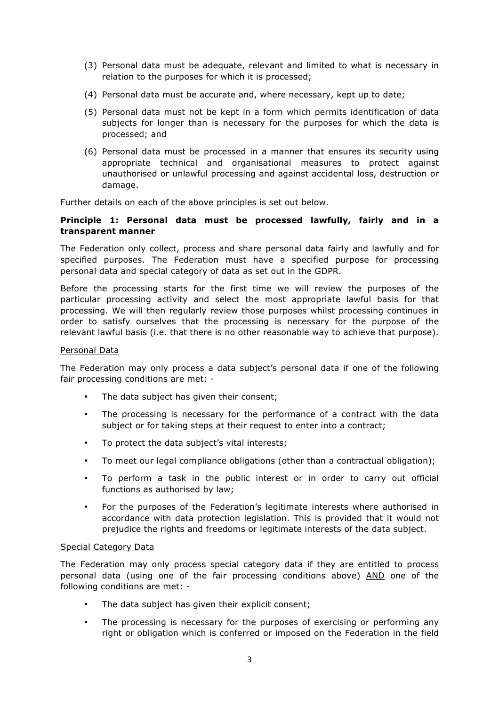- (3) Personal data must be adequate, relevant and limited to what is necessary in relation to the purposes for which it is processed;
- (4) Personal data must be accurate and, where necessary, kept up to date;
- (5) Personal data must not be kept in a form which permits identification of data subjects for longer than is necessary for the purposes for which the data is processed; and
- (6) Personal data must be processed in a manner that ensures its security using appropriate technical and organisational measures to protect against unauthorised or unlawful processing and against accidental loss, destruction or damage.

Further details on each of the above principles is set out below.

## **Principle 1: Personal data must be processed lawfully, fairly and in a transparent manner**

The Federation only collect, process and share personal data fairly and lawfully and for specified purposes. The Federation must have a specified purpose for processing personal data and special category of data as set out in the GDPR.

Before the processing starts for the first time we will review the purposes of the particular processing activity and select the most appropriate lawful basis for that processing. We will then regularly review those purposes whilst processing continues in order to satisfy ourselves that the processing is necessary for the purpose of the relevant lawful basis (i.e. that there is no other reasonable way to achieve that purpose).

#### Personal Data

The Federation may only process a data subject's personal data if one of the following fair processing conditions are met: -

- The data subject has given their consent;
- The processing is necessary for the performance of a contract with the data subject or for taking steps at their request to enter into a contract;
- To protect the data subject's vital interests;
- To meet our legal compliance obligations (other than a contractual obligation);
- To perform a task in the public interest or in order to carry out official functions as authorised by law;
- For the purposes of the Federation's legitimate interests where authorised in accordance with data protection legislation. This is provided that it would not prejudice the rights and freedoms or legitimate interests of the data subject.

#### Special Category Data

The Federation may only process special category data if they are entitled to process personal data (using one of the fair processing conditions above) AND one of the following conditions are met: -

- The data subject has given their explicit consent;
- The processing is necessary for the purposes of exercising or performing any right or obligation which is conferred or imposed on the Federation in the field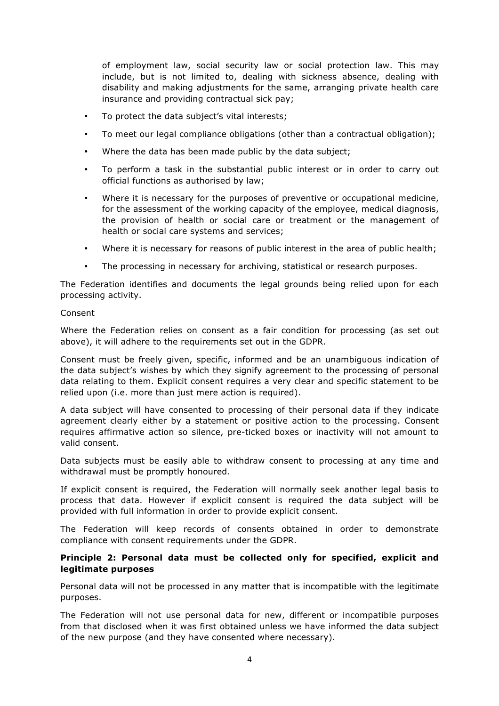of employment law, social security law or social protection law. This may include, but is not limited to, dealing with sickness absence, dealing with disability and making adjustments for the same, arranging private health care insurance and providing contractual sick pay;

- To protect the data subject's vital interests;
- To meet our legal compliance obligations (other than a contractual obligation);
- Where the data has been made public by the data subject;
- To perform a task in the substantial public interest or in order to carry out official functions as authorised by law;
- Where it is necessary for the purposes of preventive or occupational medicine, for the assessment of the working capacity of the employee, medical diagnosis, the provision of health or social care or treatment or the management of health or social care systems and services;
- Where it is necessary for reasons of public interest in the area of public health;
- The processing in necessary for archiving, statistical or research purposes.

The Federation identifies and documents the legal grounds being relied upon for each processing activity.

#### Consent

Where the Federation relies on consent as a fair condition for processing (as set out above), it will adhere to the requirements set out in the GDPR.

Consent must be freely given, specific, informed and be an unambiguous indication of the data subject's wishes by which they signify agreement to the processing of personal data relating to them. Explicit consent requires a very clear and specific statement to be relied upon (i.e. more than just mere action is required).

A data subject will have consented to processing of their personal data if they indicate agreement clearly either by a statement or positive action to the processing. Consent requires affirmative action so silence, pre-ticked boxes or inactivity will not amount to valid consent.

Data subjects must be easily able to withdraw consent to processing at any time and withdrawal must be promptly honoured.

If explicit consent is required, the Federation will normally seek another legal basis to process that data. However if explicit consent is required the data subject will be provided with full information in order to provide explicit consent.

The Federation will keep records of consents obtained in order to demonstrate compliance with consent requirements under the GDPR.

# **Principle 2: Personal data must be collected only for specified, explicit and legitimate purposes**

Personal data will not be processed in any matter that is incompatible with the legitimate purposes.

The Federation will not use personal data for new, different or incompatible purposes from that disclosed when it was first obtained unless we have informed the data subject of the new purpose (and they have consented where necessary).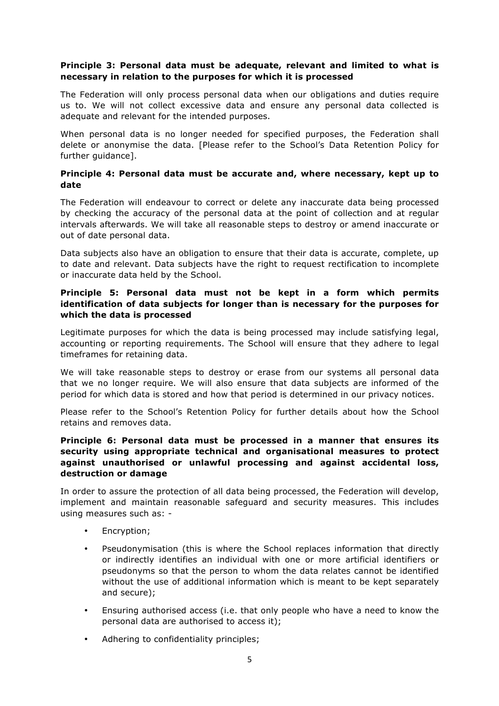# **Principle 3: Personal data must be adequate, relevant and limited to what is necessary in relation to the purposes for which it is processed**

The Federation will only process personal data when our obligations and duties require us to. We will not collect excessive data and ensure any personal data collected is adequate and relevant for the intended purposes.

When personal data is no longer needed for specified purposes, the Federation shall delete or anonymise the data. [Please refer to the School's Data Retention Policy for further guidance].

# **Principle 4: Personal data must be accurate and, where necessary, kept up to date**

The Federation will endeavour to correct or delete any inaccurate data being processed by checking the accuracy of the personal data at the point of collection and at regular intervals afterwards. We will take all reasonable steps to destroy or amend inaccurate or out of date personal data.

Data subjects also have an obligation to ensure that their data is accurate, complete, up to date and relevant. Data subjects have the right to request rectification to incomplete or inaccurate data held by the School.

# **Principle 5: Personal data must not be kept in a form which permits identification of data subjects for longer than is necessary for the purposes for which the data is processed**

Legitimate purposes for which the data is being processed may include satisfying legal, accounting or reporting requirements. The School will ensure that they adhere to legal timeframes for retaining data.

We will take reasonable steps to destroy or erase from our systems all personal data that we no longer require. We will also ensure that data subjects are informed of the period for which data is stored and how that period is determined in our privacy notices.

Please refer to the School's Retention Policy for further details about how the School retains and removes data.

# **Principle 6: Personal data must be processed in a manner that ensures its security using appropriate technical and organisational measures to protect against unauthorised or unlawful processing and against accidental loss, destruction or damage**

In order to assure the protection of all data being processed, the Federation will develop, implement and maintain reasonable safeguard and security measures. This includes using measures such as: -

- Encryption;
- Pseudonymisation (this is where the School replaces information that directly or indirectly identifies an individual with one or more artificial identifiers or pseudonyms so that the person to whom the data relates cannot be identified without the use of additional information which is meant to be kept separately and secure);
- Ensuring authorised access (i.e. that only people who have a need to know the personal data are authorised to access it);
- Adhering to confidentiality principles;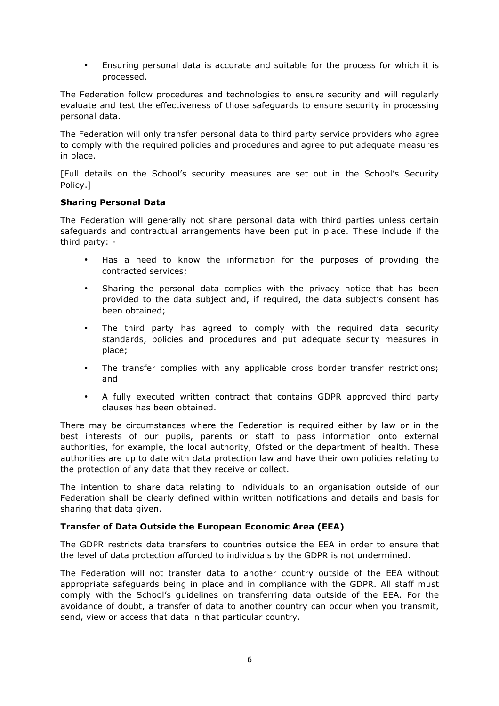• Ensuring personal data is accurate and suitable for the process for which it is processed.

The Federation follow procedures and technologies to ensure security and will regularly evaluate and test the effectiveness of those safeguards to ensure security in processing personal data.

The Federation will only transfer personal data to third party service providers who agree to comply with the required policies and procedures and agree to put adequate measures in place.

[Full details on the School's security measures are set out in the School's Security Policy.]

## **Sharing Personal Data**

The Federation will generally not share personal data with third parties unless certain safeguards and contractual arrangements have been put in place. These include if the third party: -

- Has a need to know the information for the purposes of providing the contracted services;
- Sharing the personal data complies with the privacy notice that has been provided to the data subject and, if required, the data subject's consent has been obtained;
- The third party has agreed to comply with the required data security standards, policies and procedures and put adequate security measures in place;
- The transfer complies with any applicable cross border transfer restrictions; and
- A fully executed written contract that contains GDPR approved third party clauses has been obtained.

There may be circumstances where the Federation is required either by law or in the best interests of our pupils, parents or staff to pass information onto external authorities, for example, the local authority, Ofsted or the department of health. These authorities are up to date with data protection law and have their own policies relating to the protection of any data that they receive or collect.

The intention to share data relating to individuals to an organisation outside of our Federation shall be clearly defined within written notifications and details and basis for sharing that data given.

# **Transfer of Data Outside the European Economic Area (EEA)**

The GDPR restricts data transfers to countries outside the EEA in order to ensure that the level of data protection afforded to individuals by the GDPR is not undermined.

The Federation will not transfer data to another country outside of the EEA without appropriate safeguards being in place and in compliance with the GDPR. All staff must comply with the School's guidelines on transferring data outside of the EEA. For the avoidance of doubt, a transfer of data to another country can occur when you transmit, send, view or access that data in that particular country.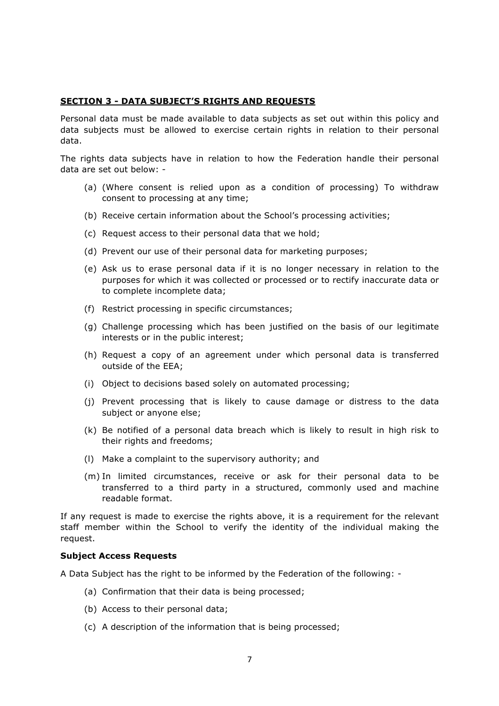## **SECTION 3 - DATA SUBJECT'S RIGHTS AND REQUESTS**

Personal data must be made available to data subjects as set out within this policy and data subjects must be allowed to exercise certain rights in relation to their personal data.

The rights data subjects have in relation to how the Federation handle their personal data are set out below: -

- (a) (Where consent is relied upon as a condition of processing) To withdraw consent to processing at any time;
- (b) Receive certain information about the School's processing activities;
- (c) Request access to their personal data that we hold;
- (d) Prevent our use of their personal data for marketing purposes;
- (e) Ask us to erase personal data if it is no longer necessary in relation to the purposes for which it was collected or processed or to rectify inaccurate data or to complete incomplete data;
- (f) Restrict processing in specific circumstances;
- (g) Challenge processing which has been justified on the basis of our legitimate interests or in the public interest;
- (h) Request a copy of an agreement under which personal data is transferred outside of the EEA;
- (i) Object to decisions based solely on automated processing;
- (j) Prevent processing that is likely to cause damage or distress to the data subject or anyone else;
- (k) Be notified of a personal data breach which is likely to result in high risk to their rights and freedoms;
- (l) Make a complaint to the supervisory authority; and
- (m) In limited circumstances, receive or ask for their personal data to be transferred to a third party in a structured, commonly used and machine readable format.

If any request is made to exercise the rights above, it is a requirement for the relevant staff member within the School to verify the identity of the individual making the request.

#### **Subject Access Requests**

A Data Subject has the right to be informed by the Federation of the following: -

- (a) Confirmation that their data is being processed;
- (b) Access to their personal data;
- (c) A description of the information that is being processed;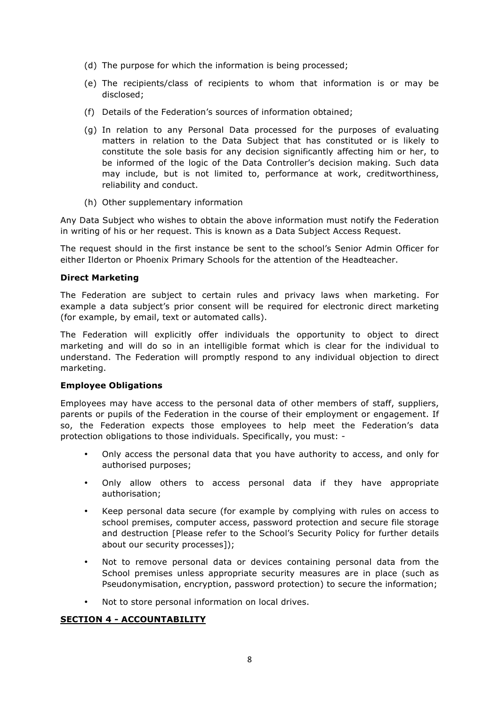- (d) The purpose for which the information is being processed;
- (e) The recipients/class of recipients to whom that information is or may be disclosed;
- (f) Details of the Federation's sources of information obtained;
- (g) In relation to any Personal Data processed for the purposes of evaluating matters in relation to the Data Subject that has constituted or is likely to constitute the sole basis for any decision significantly affecting him or her, to be informed of the logic of the Data Controller's decision making. Such data may include, but is not limited to, performance at work, creditworthiness, reliability and conduct.
- (h) Other supplementary information

Any Data Subject who wishes to obtain the above information must notify the Federation in writing of his or her request. This is known as a Data Subject Access Request.

The request should in the first instance be sent to the school's Senior Admin Officer for either Ilderton or Phoenix Primary Schools for the attention of the Headteacher.

## **Direct Marketing**

The Federation are subject to certain rules and privacy laws when marketing. For example a data subject's prior consent will be required for electronic direct marketing (for example, by email, text or automated calls).

The Federation will explicitly offer individuals the opportunity to object to direct marketing and will do so in an intelligible format which is clear for the individual to understand. The Federation will promptly respond to any individual objection to direct marketing.

#### **Employee Obligations**

Employees may have access to the personal data of other members of staff, suppliers, parents or pupils of the Federation in the course of their employment or engagement. If so, the Federation expects those employees to help meet the Federation's data protection obligations to those individuals. Specifically, you must: -

- Only access the personal data that you have authority to access, and only for authorised purposes;
- Only allow others to access personal data if they have appropriate authorisation;
- Keep personal data secure (for example by complying with rules on access to school premises, computer access, password protection and secure file storage and destruction [Please refer to the School's Security Policy for further details about our security processes]);
- Not to remove personal data or devices containing personal data from the School premises unless appropriate security measures are in place (such as Pseudonymisation, encryption, password protection) to secure the information;
- Not to store personal information on local drives.

#### **SECTION 4 - ACCOUNTABILITY**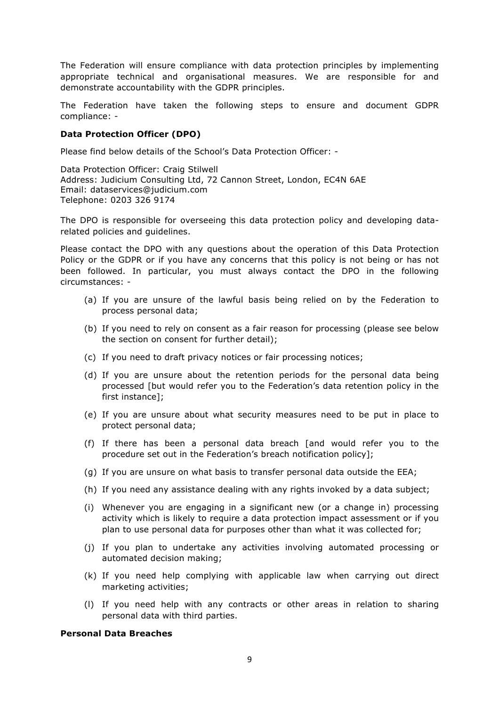The Federation will ensure compliance with data protection principles by implementing appropriate technical and organisational measures. We are responsible for and demonstrate accountability with the GDPR principles.

The Federation have taken the following steps to ensure and document GDPR compliance: -

## **Data Protection Officer (DPO)**

Please find below details of the School's Data Protection Officer: -

Data Protection Officer: Craig Stilwell Address: Judicium Consulting Ltd, 72 Cannon Street, London, EC4N 6AE Email: dataservices@judicium.com Telephone: 0203 326 9174

The DPO is responsible for overseeing this data protection policy and developing datarelated policies and guidelines.

Please contact the DPO with any questions about the operation of this Data Protection Policy or the GDPR or if you have any concerns that this policy is not being or has not been followed. In particular, you must always contact the DPO in the following circumstances: -

- (a) If you are unsure of the lawful basis being relied on by the Federation to process personal data;
- (b) If you need to rely on consent as a fair reason for processing (please see below the section on consent for further detail);
- (c) If you need to draft privacy notices or fair processing notices;
- (d) If you are unsure about the retention periods for the personal data being processed [but would refer you to the Federation's data retention policy in the first instance];
- (e) If you are unsure about what security measures need to be put in place to protect personal data;
- (f) If there has been a personal data breach [and would refer you to the procedure set out in the Federation's breach notification policy];
- (g) If you are unsure on what basis to transfer personal data outside the EEA;
- (h) If you need any assistance dealing with any rights invoked by a data subject;
- (i) Whenever you are engaging in a significant new (or a change in) processing activity which is likely to require a data protection impact assessment or if you plan to use personal data for purposes other than what it was collected for;
- (j) If you plan to undertake any activities involving automated processing or automated decision making;
- (k) If you need help complying with applicable law when carrying out direct marketing activities;
- (l) If you need help with any contracts or other areas in relation to sharing personal data with third parties.

#### **Personal Data Breaches**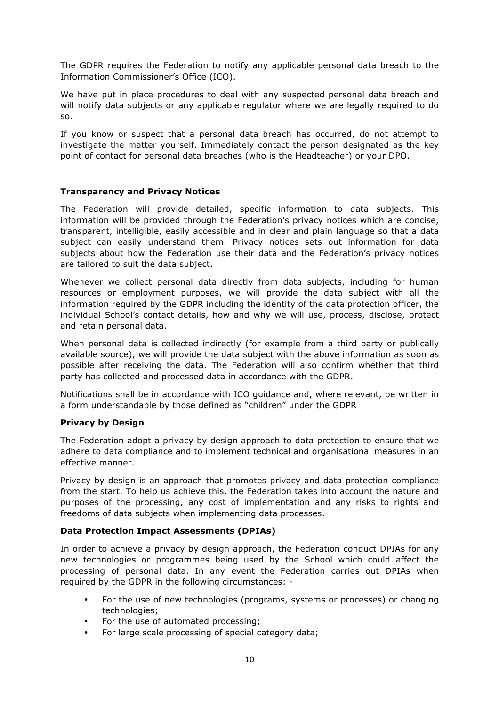The GDPR requires the Federation to notify any applicable personal data breach to the Information Commissioner's Office (ICO).

We have put in place procedures to deal with any suspected personal data breach and will notify data subjects or any applicable regulator where we are legally required to do so.

If you know or suspect that a personal data breach has occurred, do not attempt to investigate the matter yourself. Immediately contact the person designated as the key point of contact for personal data breaches (who is the Headteacher) or your DPO.

## **Transparency and Privacy Notices**

The Federation will provide detailed, specific information to data subjects. This information will be provided through the Federation's privacy notices which are concise, transparent, intelligible, easily accessible and in clear and plain language so that a data subject can easily understand them. Privacy notices sets out information for data subjects about how the Federation use their data and the Federation's privacy notices are tailored to suit the data subject.

Whenever we collect personal data directly from data subjects, including for human resources or employment purposes, we will provide the data subject with all the information required by the GDPR including the identity of the data protection officer, the individual School's contact details, how and why we will use, process, disclose, protect and retain personal data.

When personal data is collected indirectly (for example from a third party or publically available source), we will provide the data subject with the above information as soon as possible after receiving the data. The Federation will also confirm whether that third party has collected and processed data in accordance with the GDPR.

Notifications shall be in accordance with ICO guidance and, where relevant, be written in a form understandable by those defined as "children" under the GDPR

#### **Privacy by Design**

The Federation adopt a privacy by design approach to data protection to ensure that we adhere to data compliance and to implement technical and organisational measures in an effective manner.

Privacy by design is an approach that promotes privacy and data protection compliance from the start. To help us achieve this, the Federation takes into account the nature and purposes of the processing, any cost of implementation and any risks to rights and freedoms of data subjects when implementing data processes.

#### **Data Protection Impact Assessments (DPIAs)**

In order to achieve a privacy by design approach, the Federation conduct DPIAs for any new technologies or programmes being used by the School which could affect the processing of personal data. In any event the Federation carries out DPIAs when required by the GDPR in the following circumstances: -

- For the use of new technologies (programs, systems or processes) or changing technologies;
- For the use of automated processing;
- For large scale processing of special category data;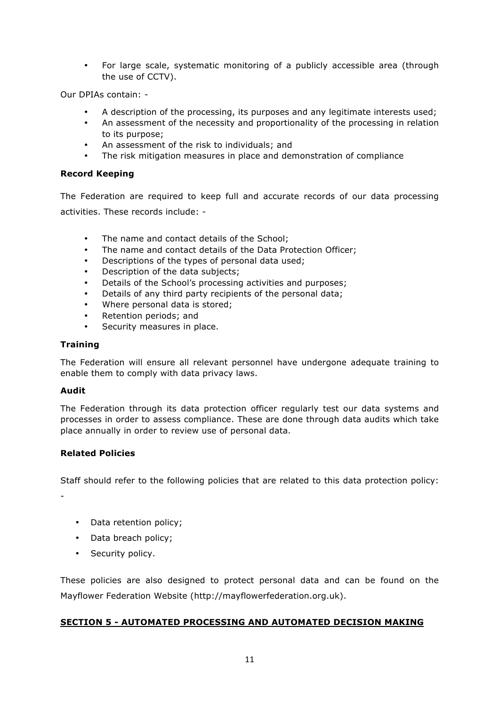• For large scale, systematic monitoring of a publicly accessible area (through the use of CCTV).

Our DPIAs contain: -

- A description of the processing, its purposes and any legitimate interests used;
- An assessment of the necessity and proportionality of the processing in relation to its purpose;
- An assessment of the risk to individuals; and
- The risk mitigation measures in place and demonstration of compliance

## **Record Keeping**

The Federation are required to keep full and accurate records of our data processing activities. These records include: -

- The name and contact details of the School:
- The name and contact details of the Data Protection Officer;
- Descriptions of the types of personal data used;
- Description of the data subjects;
- Details of the School's processing activities and purposes;
- Details of any third party recipients of the personal data;
- Where personal data is stored;
- Retention periods; and
- Security measures in place.

## **Training**

The Federation will ensure all relevant personnel have undergone adequate training to enable them to comply with data privacy laws.

#### **Audit**

The Federation through its data protection officer regularly test our data systems and processes in order to assess compliance. These are done through data audits which take place annually in order to review use of personal data.

# **Related Policies**

Staff should refer to the following policies that are related to this data protection policy:

-

- Data retention policy;
- Data breach policy;
- Security policy.

These policies are also designed to protect personal data and can be found on the Mayflower Federation Website (http://mayflowerfederation.org.uk).

## **SECTION 5 - AUTOMATED PROCESSING AND AUTOMATED DECISION MAKING**